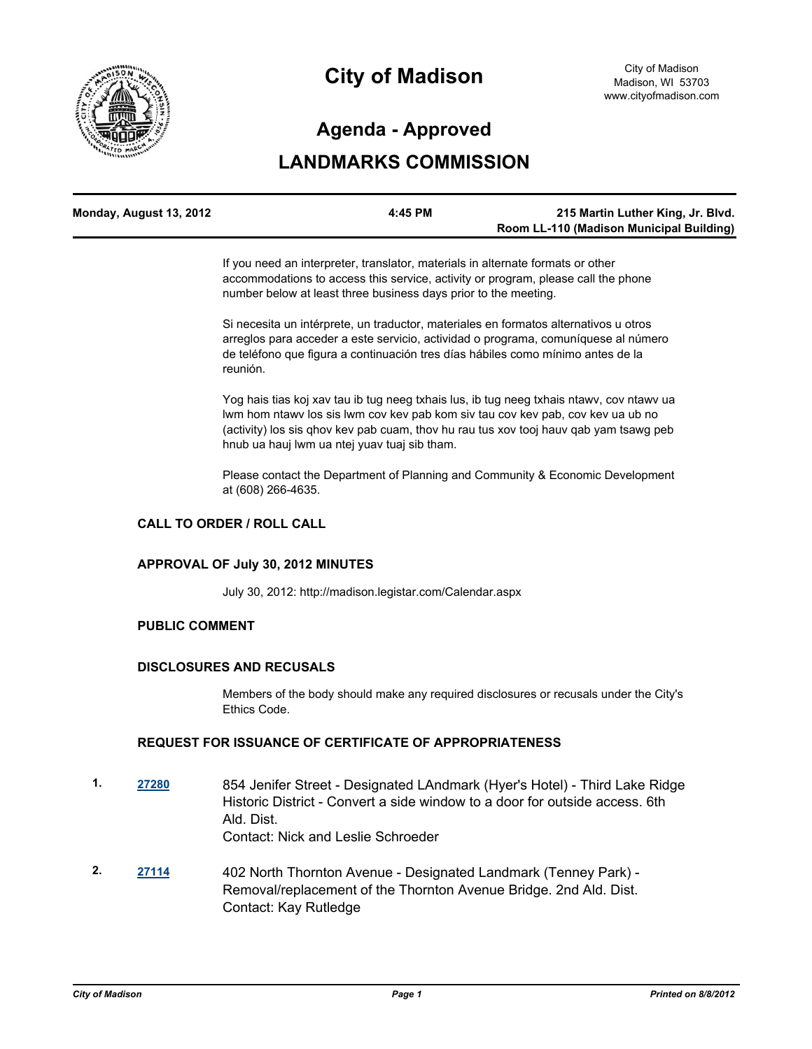

# **City of Madison**

# **Agenda - Approved**

## **LANDMARKS COMMISSION**

| Monday, August 13, 2012 | 4:45 PM | 215 Martin Luther King, Jr. Blvd.        |
|-------------------------|---------|------------------------------------------|
|                         |         | Room LL-110 (Madison Municipal Building) |

If you need an interpreter, translator, materials in alternate formats or other accommodations to access this service, activity or program, please call the phone number below at least three business days prior to the meeting.

Si necesita un intérprete, un traductor, materiales en formatos alternativos u otros arreglos para acceder a este servicio, actividad o programa, comuníquese al número de teléfono que figura a continuación tres días hábiles como mínimo antes de la reunión.

Yog hais tias koj xav tau ib tug neeg txhais lus, ib tug neeg txhais ntawv, cov ntawv ua lwm hom ntawv los sis lwm cov kev pab kom siv tau cov kev pab, cov kev ua ub no (activity) los sis qhov kev pab cuam, thov hu rau tus xov tooj hauv qab yam tsawg peb hnub ua hauj lwm ua ntej yuav tuaj sib tham.

Please contact the Department of Planning and Community & Economic Development at (608) 266-4635.

### **CALL TO ORDER / ROLL CALL**

#### **APPROVAL OF July 30, 2012 MINUTES**

July 30, 2012: http://madison.legistar.com/Calendar.aspx

#### **PUBLIC COMMENT**

#### **DISCLOSURES AND RECUSALS**

Members of the body should make any required disclosures or recusals under the City's Ethics Code.

### **REQUEST FOR ISSUANCE OF CERTIFICATE OF APPROPRIATENESS**

- **1. [27280](http://madison.legistar.com/gateway.aspx?m=l&id=/matter.aspx?key=29960)** 854 Jenifer Street Designated LAndmark (Hyer's Hotel) Third Lake Ridge Historic District - Convert a side window to a door for outside access. 6th Ald. Dist. Contact: Nick and Leslie Schroeder
- **2. [27114](http://madison.legistar.com/gateway.aspx?m=l&id=/matter.aspx?key=29786)** 402 North Thornton Avenue Designated Landmark (Tenney Park) Removal/replacement of the Thornton Avenue Bridge. 2nd Ald. Dist. Contact: Kay Rutledge